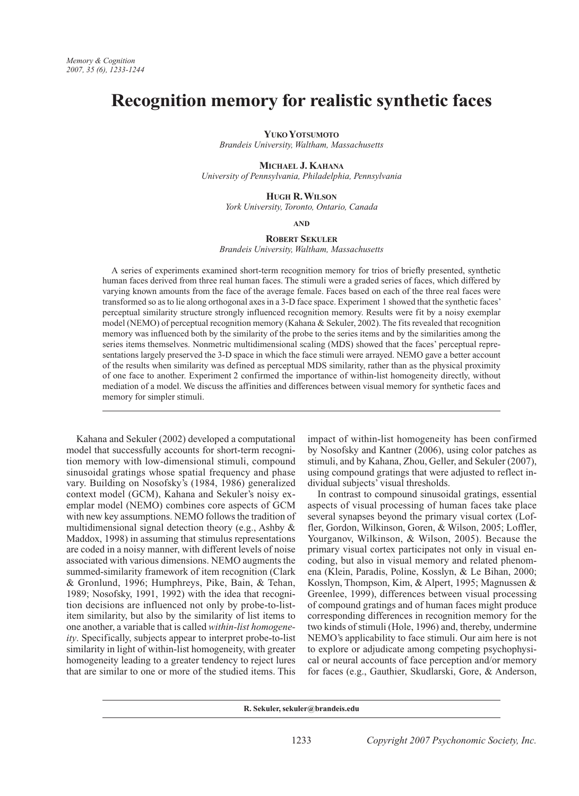# **Recognition memory for realistic synthetic faces**

YUKO YOTSUMOTO

Brandeis University, Waltham, Massachusetts

MICHAEL J. KAHANA

University of Pennsylvania, Philadelphia, Pennsylvania

# **HUGH R. WILSON**

York University, Toronto, Ontario, Canada

# AND

# **ROBERT SEKULER**

Brandeis University, Waltham, Massachusetts

A series of experiments examined short-term recognition memory for trios of briefly presented, synthetic human faces derived from three real human faces. The stimuli were a graded series of faces, which differed by varying known amounts from the face of the average female. Faces based on each of the three real faces were transformed so as to lie along orthogonal axes in a 3-D face space. Experiment 1 showed that the synthetic faces' perceptual similarity structure strongly influenced recognition memory. Results were fit by a noisy exemplar model (NEMO) of perceptual recognition memory (Kahana & Sekuler, 2002). The fits revealed that recognition memory was influenced both by the similarity of the probe to the series items and by the similarities among the series items themselves. Nonmetric multidimensional scaling (MDS) showed that the faces' perceptual representations largely preserved the 3-D space in which the face stimuli were arrayed. NEMO gave a better account of the results when similarity was defined as perceptual MDS similarity, rather than as the physical proximity of one face to another. Experiment 2 confirmed the importance of within-list homogeneity directly, without mediation of a model. We discuss the affinities and differences between visual memory for synthetic faces and memory for simpler stimuli.

Kahana and Sekuler (2002) developed a computational model that successfully accounts for short-term recognition memory with low-dimensional stimuli, compound sinusoidal gratings whose spatial frequency and phase vary. Building on Nosofsky's (1984, 1986) generalized context model (GCM), Kahana and Sekuler's noisy exemplar model (NEMO) combines core aspects of GCM with new key assumptions. NEMO follows the tradition of multidimensional signal detection theory (e.g., Ashby  $\&$ Maddox, 1998) in assuming that stimulus representations are coded in a noisy manner, with different levels of noise associated with various dimensions. NEMO augments the summed-similarity framework of item recognition (Clark & Gronlund, 1996; Humphreys, Pike, Bain, & Tehan, 1989; Nosofsky, 1991, 1992) with the idea that recognition decisions are influenced not only by probe-to-listitem similarity, but also by the similarity of list items to one another, a variable that is called within-list homogene*ity*. Specifically, subjects appear to interpret probe-to-list similarity in light of within-list homogeneity, with greater homogeneity leading to a greater tendency to reject lures that are similar to one or more of the studied items. This

impact of within-list homogeneity has been confirmed by Nosofsky and Kantner (2006), using color patches as stimuli, and by Kahana, Zhou, Geller, and Sekuler (2007), using compound gratings that were adjusted to reflect individual subjects' visual thresholds.

In contrast to compound sinusoidal gratings, essential aspects of visual processing of human faces take place several synapses beyond the primary visual cortex (Loffler, Gordon, Wilkinson, Goren, & Wilson, 2005; Loffler, Yourganov, Wilkinson, & Wilson, 2005). Because the primary visual cortex participates not only in visual encoding, but also in visual memory and related phenomena (Klein, Paradis, Poline, Kosslyn, & Le Bihan, 2000; Kosslyn, Thompson, Kim, & Alpert, 1995; Magnussen & Greenlee, 1999), differences between visual processing of compound gratings and of human faces might produce corresponding differences in recognition memory for the two kinds of stimuli (Hole, 1996) and, thereby, undermine NEMO's applicability to face stimuli. Our aim here is not to explore or adjudicate among competing psychophysical or neural accounts of face perception and/or memory for faces (e.g., Gauthier, Skudlarski, Gore, & Anderson,

R. Sekuler, sekuler@brandeis.edu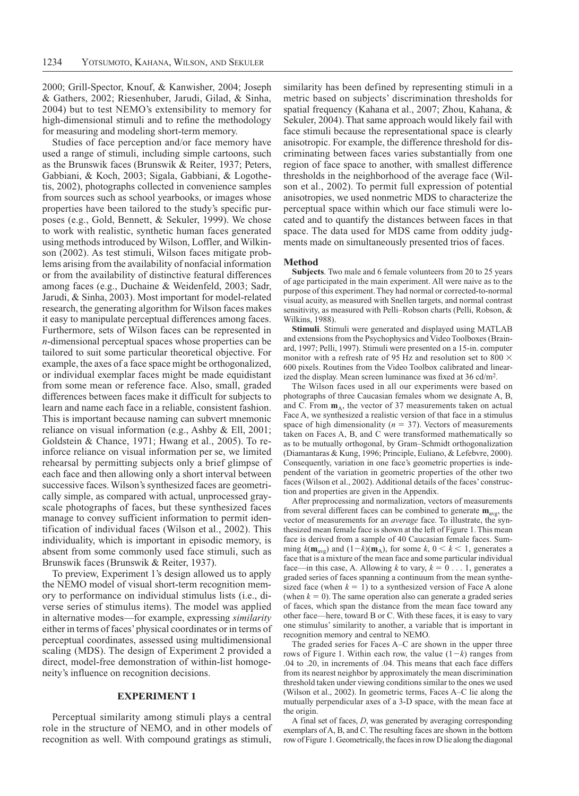2000; Grill-Spector, Knouf, & Kanwisher, 2004; Joseph & Gathers, 2002; Riesenhuber, Jarudi, Gilad, & Sinha, 2004) but to test NEMO's extensibility to memory for high-dimensional stimuli and to refine the methodology for measuring and modeling short-term memory.

Studies of face perception and/or face memory have used a range of stimuli, including simple cartoons, such as the Brunswik faces (Brunswik & Reiter, 1937; Peters, Gabbiani, & Koch, 2003; Sigala, Gabbiani, & Logothetis, 2002), photographs collected in convenience samples from sources such as school yearbooks, or images whose properties have been tailored to the study's specific purposes (e.g., Gold, Bennett, & Sekuler, 1999). We chose to work with realistic, synthetic human faces generated using methods introduced by Wilson, Loffler, and Wilkinson (2002). As test stimuli, Wilson faces mitigate problems arising from the availability of nonfacial information or from the availability of distinctive featural differences among faces (e.g., Duchaine & Weidenfeld, 2003; Sadr, Jarudi, & Sinha, 2003). Most important for model-related research, the generating algorithm for Wilson faces makes it easy to manipulate perceptual differences among faces. Furthermore, sets of Wilson faces can be represented in *n*-dimensional perceptual spaces whose properties can be tailored to suit some particular theoretical objective. For example, the axes of a face space might be orthogonalized, or individual exemplar faces might be made equidistant from some mean or reference face. Also, small, graded differences between faces make it difficult for subjects to learn and name each face in a reliable, consistent fashion. This is important because naming can subvert mnemonic reliance on visual information (e.g., Ashby & Ell, 2001; Goldstein & Chance, 1971; Hwang et al., 2005). To reinforce reliance on visual information per se, we limited rehearsal by permitting subjects only a brief glimpse of each face and then allowing only a short interval between successive faces. Wilson's synthesized faces are geometrically simple, as compared with actual, unprocessed grayscale photographs of faces, but these synthesized faces manage to convey sufficient information to permit identification of individual faces (Wilson et al., 2002). This individuality, which is important in episodic memory, is absent from some commonly used face stimuli, such as Brunswik faces (Brunswik & Reiter, 1937).

To preview, Experiment 1's design allowed us to apply the NEMO model of visual short-term recognition memory to performance on individual stimulus lists (i.e., diverse series of stimulus items). The model was applied in alternative modes—for example, expressing *similarity* either in terms of faces' physical coordinates or in terms of perceptual coordinates, assessed using multidimensional scaling (MDS). The design of Experiment 2 provided a direct, model-free demonstration of within-list homogeneity's influence on recognition decisions.

## **EXPERIMENT1**

Perceptual similarity among stimuli plays a central role in the structure of NEMO, and in other models of recognition as well. With compound gratings as stimuli,

similarity has been defined by representing stimuli in a metric based on subjects' discrimination thresholds for spatial frequency (Kahana et al., 2007; Zhou, Kahana, & Sekuler, 2004). That same approach would likely fail with face stimuli because the representational space is clearly anisotropic. For example, the difference threshold for discriminating between faces varies substantially from one region of face space to another, with smallest difference thresholds in the neighborhood of the average face (Wilson et al., 2002). To permit full expression of potential anisotropies, we used nonmetric MDS to characterize the perceptual space within which our face stimuli were located and to quantify the distances between faces in that space. The data used for MDS came from oddity judgments made on simultaneously presented trios of faces.

## **Method**

Subjects. Two male and 6 female volunteers from 20 to 25 years of age participated in the main experiment. All were naive as to the purpose of this experiment. They had normal or corrected-to-normal visual acuity, as measured with Snellen targets, and normal contrast sensitivity, as measured with Pelli–Robson charts (Pelli, Robson, & Wilkins, 1988).

Stimuli. Stimuli were generated and displayed using MATLAB and extensions from the Psychophysics and Video Toolboxes (Brainard, 1997; Pelli, 1997). Stimuli were presented on a 15-in. computer monitor with a refresh rate of 95 Hz and resolution set to 800  $\times$ 600 pixels. Routines from the Video Toolbox calibrated and linearized the display. Mean screen luminance was fixed at 36 cd/m<sup>2</sup>.

The Wilson faces used in all our experiments were based on photographs of three Caucasian females whom we designate A, B, and C. From  $m_A$ , the vector of 37 measurements taken on actual Face A, we synthesized a realistic version of that face in a stimulus space of high dimensionality ( $n = 37$ ). Vectors of measurements taken on Faces A, B, and C were transformed mathematically so as to be mutually orthogonal, by Gram-Schmidt orthogonalization (Diamantaras & Kung, 1996; Principle, Euliano, & Lefebvre, 2000). Consequently, variation in one face's geometric properties is independent of the variation in geometric properties of the other two faces (Wilson et al., 2002). Additional details of the faces' construction and properties are given in the Appendix.

After preprocessing and normalization, vectors of measurements from several different faces can be combined to generate  $m_{\text{avg}}$ , the vector of measurements for an *average* face. To illustrate, the synthesized mean female face is shown at the left of Figure 1. This mean face is derived from a sample of 40 Caucasian female faces. Summing  $k(\mathbf{m}_{\text{avg}})$  and  $(1-k)(\mathbf{m}_{A})$ , for some k,  $0 < k < 1$ , generates a face that is a mixture of the mean face and some particular individual face—in this case, A. Allowing k to vary,  $k = 0 \ldots 1$ , generates a graded series of faces spanning a continuum from the mean synthesized face (when  $k = 1$ ) to a synthesized version of Face A alone (when  $k = 0$ ). The same operation also can generate a graded series of faces, which span the distance from the mean face toward any other face—here, toward B or C. With these faces, it is easy to vary one stimulus' similarity to another, a variable that is important in recognition memory and central to NEMO.

The graded series for Faces A-C are shown in the upper three rows of Figure 1. Within each row, the value  $(1-k)$  ranges from .04 to .20, in increments of .04. This means that each face differs from its nearest neighbor by approximately the mean discrimination threshold taken under viewing conditions similar to the ones we used (Wilson et al., 2002). In geometric terms, Faces A–C lie along the mutually perpendicular axes of a 3-D space, with the mean face at the origin.

A final set of faces, *D*, was generated by averaging corresponding exemplars of A, B, and C. The resulting faces are shown in the bottom row of Figure 1. Geometrically, the faces in row D lie along the diagonal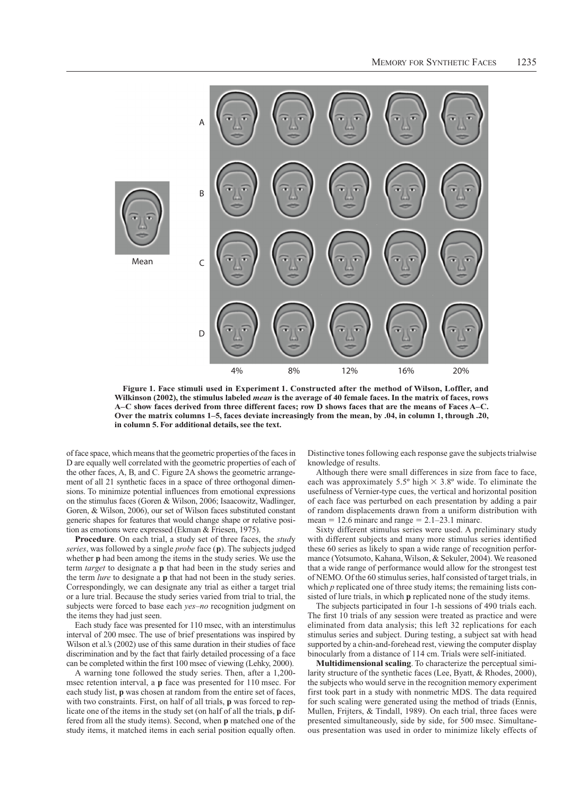

Figure 1. Face stimuli used in Experiment 1. Constructed after the method of Wilson, Loffler, and Wilkinson (2002), the stimulus labeled *mean* is the average of 40 female faces. In the matrix of faces, rows A-C show faces derived from three different faces; row D shows faces that are the means of Faces A-C. Over the matrix columns 1–5, faces deviate increasingly from the mean, by 0.04, in column 1, through 0.20, in column 5. For additional details, see the text.

of face space, which means that the geometric properties of the faces in D are equally well correlated with the geometric properties of each of the other faces, A, B, and C. Figure 2A shows the geometric arrangement of all 21 synthetic faces in a space of three orthogonal dimensions. To minimize potential influences from emotional expressions on the stimulus faces (Goren & Wilson, 2006; Isaacowitz, Wadlinger, Goren, & Wilson, 2006), our set of Wilson faces substituted constant generic shapes for features that would change shape or relative position as emotions were expressed (Ekman & Friesen, 1975).

Procedure. On each trial, a study set of three faces, the study series, was followed by a single *probe* face (p). The subjects judged whether **p** had been among the items in the study series. We use the term *target* to designate a **p** that had been in the study series and the term *lure* to designate a **p** that had not been in the study series. Correspondingly, we can designate any trial as either a target trial or a lure trial. Because the study series varied from trial to trial, the subjects were forced to base each yes-no recognition judgment on the items they had just seen.

Each study face was presented for 110 msec, with an interstimulus interval of 200 msec. The use of brief presentations was inspired by Wilson et al.'s (2002) use of this same duration in their studies of face discrimination and by the fact that fairly detailed processing of a face can be completed within the first 100 msec of viewing (Lehky, 2000).

A warning tone followed the study series. Then, after a 1,200msec retention interval, a **p** face was presented for 110 msec. For each study list, p was chosen at random from the entire set of faces, with two constraints. First, on half of all trials, p was forced to replicate one of the items in the study set (on half of all the trials, p differed from all the study items). Second, when p matched one of the study items, it matched items in each serial position equally often.

Distinctive tones following each response gave the subjects trialwise knowledge of results.

Although there were small differences in size from face to face, each was approximately 5.5° high  $\times$  3.8° wide. To eliminate the usefulness of Vernier-type cues, the vertical and horizontal position of each face was perturbed on each presentation by adding a pair of random displacements drawn from a uniform distribution with mean = 12.6 minarc and range =  $2.1-23.1$  minarc.

Sixty different stimulus series were used. A preliminary study with different subjects and many more stimulus series identified these 60 series as likely to span a wide range of recognition performance (Yotsumoto, Kahana, Wilson, & Sekuler, 2004). We reasoned that a wide range of performance would allow for the strongest test of NEMO. Of the 60 stimulus series, half consisted of target trials, in which  $p$  replicated one of three study items; the remaining lists consisted of lure trials, in which **p** replicated none of the study items.

The subjects participated in four 1-h sessions of 490 trials each. The first 10 trials of any session were treated as practice and were eliminated from data analysis; this left 32 replications for each stimulus series and subject. During testing, a subject sat with head supported by a chin-and-forehead rest, viewing the computer display binocularly from a distance of 114 cm. Trials were self-initiated.

Multidimensional scaling. To characterize the perceptual similarity structure of the synthetic faces (Lee, Byatt, & Rhodes, 2000), the subjects who would serve in the recognition memory experiment first took part in a study with nonmetric MDS. The data required for such scaling were generated using the method of triads (Ennis, Mullen, Frijters, & Tindall, 1989). On each trial, three faces were presented simultaneously, side by side, for 500 msec. Simultaneous presentation was used in order to minimize likely effects of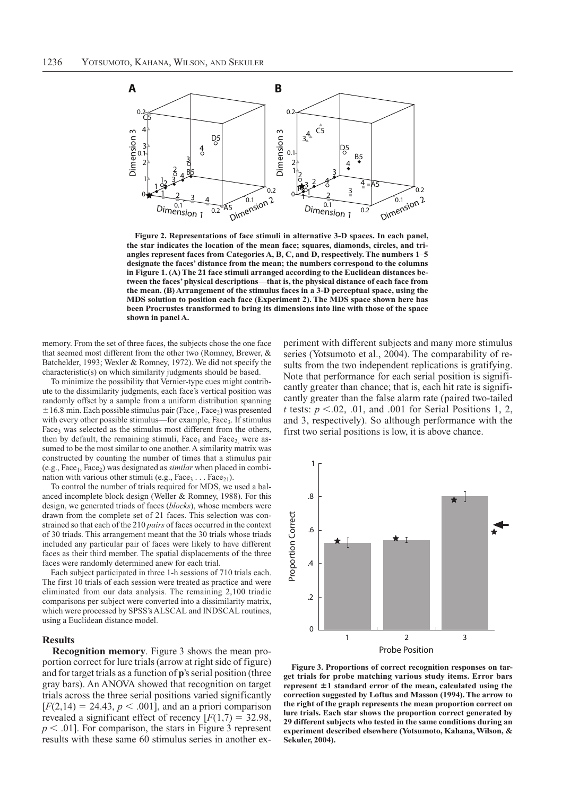

Figure 2. Representations of face stimuli in alternative 3-D spaces. In each panel, the star indicates the location of the mean face; squares, diamonds, circles, and triangles represent faces from Categories A, B, C, and D, respectively. The numbers 1-5 designate the faces' distance from the mean; the numbers correspond to the columns in Figure 1. (A) The 21 face stimuli arranged according to the Euclidean distances between the faces' physical descriptions—that is, the physical distance of each face from the mean. (B) Arrangement of the stimulus faces in a 3-D perceptual space, using the MDS solution to position each face (Experiment 2). The MDS space shown here has been Procrustes transformed to bring its dimensions into line with those of the space shown in panel A.

memory. From the set of three faces, the subjects chose the one face that seemed most different from the other two (Romney, Brewer, & Batchelder, 1993; Wexler & Romney, 1972). We did not specify the characteristic(s) on which similarity judgments should be based.

To minimize the possibility that Vernier-type cues might contribute to the dissimilarity judgments, each face's vertical position was randomly offset by a sample from a uniform distribution spanning  $\pm$ 16.8 min. Each possible stimulus pair (Face<sub>1</sub>, Face<sub>2</sub>) was presented with every other possible stimulus—for example, Face, If stimulus Face, was selected as the stimulus most different from the others, then by default, the remaining stimuli,  $Face_1$  and  $Face_2$  were assumed to be the most similar to one another. A similarity matrix was constructed by counting the number of times that a stimulus pair (e.g., Face<sub>1</sub>, Face<sub>2</sub>) was designated as *similar* when placed in combination with various other stimuli (e.g., Face<sub>3</sub>... Face<sub>21</sub>).

To control the number of trials required for MDS, we used a balanced incomplete block design (Weller & Romney, 1988). For this design, we generated triads of faces (blocks), whose members were drawn from the complete set of 21 faces. This selection was constrained so that each of the 210 pairs of faces occurred in the context of 30 triads. This arrangement meant that the 30 trials whose triads included any particular pair of faces were likely to have different faces as their third member. The spatial displacements of the three faces were randomly determined anew for each trial.

Each subject participated in three 1-h sessions of 710 trials each. The first 10 trials of each session were treated as practice and were eliminated from our data analysis. The remaining 2,100 triadic comparisons per subject were converted into a dissimilarity matrix, which were processed by SPSS's ALSCAL and INDSCAL routines, using a Euclidean distance model.

## **Results**

**Recognition memory.** Figure 3 shows the mean proportion correct for lure trials (arrow at right side of figure) and for target trials as a function of **p**'s serial position (three gray bars). An ANOVA showed that recognition on target trials across the three serial positions varied significantly  $[F(2,14) = 24.43, p < .001]$ , and an a priori comparison revealed a significant effect of recency  $[F(1,7) = 32.98]$ ,  $p < .01$ ]. For comparison, the stars in Figure 3 represent results with these same 60 stimulus series in another experiment with different subjects and many more stimulus series (Yotsumoto et al., 2004). The comparability of results from the two independent replications is gratifying. Note that performance for each serial position is significantly greater than chance; that is, each hit rate is significantly greater than the false alarm rate (paired two-tailed t tests:  $p < 0.02$ , 0.01, and 0.01 for Serial Positions 1, 2, and 3, respectively). So although performance with the first two serial positions is low, it is above chance.



Figure 3. Proportions of correct recognition responses on target trials for probe matching various study items. Error bars represent  $\pm 1$  standard error of the mean, calculated using the correction suggested by Loftus and Masson (1994). The arrow to the right of the graph represents the mean proportion correct on lure trials. Each star shows the proportion correct generated by 29 different subjects who tested in the same conditions during an experiment described elsewhere (Yotsumoto, Kahana, Wilson, & Sekuler, 2004).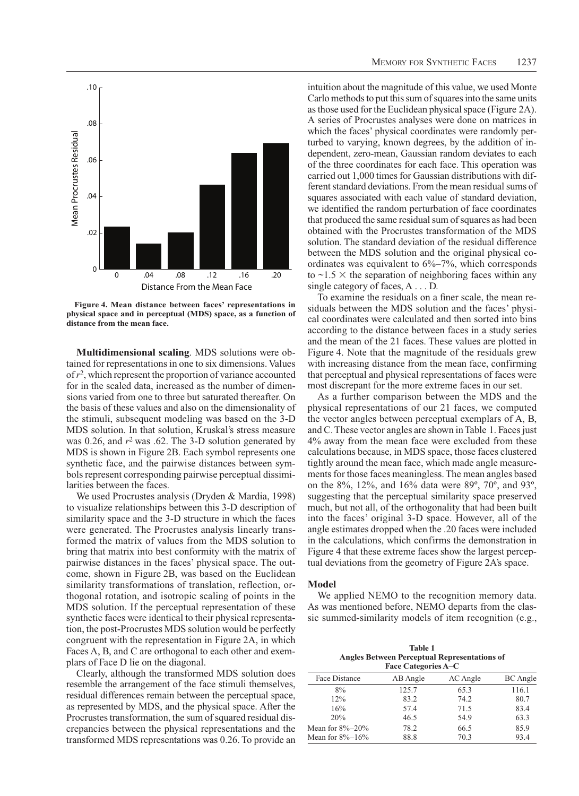

Figure 4. Mean distance between faces' representations in physical space and in perceptual (MDS) space, as a function of distance from the mean face.

**Multidimensional scaling.** MDS solutions were obtained for representations in one to six dimensions. Values of  $r^2$ , which represent the proportion of variance accounted for in the scaled data, increased as the number of dimensions varied from one to three but saturated thereafter. On the basis of these values and also on the dimensionality of the stimuli, subsequent modeling was based on the 3-D MDS solution. In that solution, Kruskal's stress measure was 0.26, and  $r^2$  was .62. The 3-D solution generated by MDS is shown in Figure 2B. Each symbol represents one synthetic face, and the pairwise distances between symbols represent corresponding pairwise perceptual dissimilarities between the faces.

We used Procrustes analysis (Dryden & Mardia, 1998) to visualize relationships between this 3-D description of similarity space and the 3-D structure in which the faces were generated. The Procrustes analysis linearly transformed the matrix of values from the MDS solution to bring that matrix into best conformity with the matrix of pairwise distances in the faces' physical space. The outcome, shown in Figure 2B, was based on the Euclidean similarity transformations of translation, reflection, orthogonal rotation, and isotropic scaling of points in the MDS solution. If the perceptual representation of these synthetic faces were identical to their physical representation, the post-Procrustes MDS solution would be perfectly congruent with the representation in Figure 2A, in which Faces A, B, and C are orthogonal to each other and exemplars of Face D lie on the diagonal.

Clearly, although the transformed MDS solution does resemble the arrangement of the face stimuli themselves, residual differences remain between the perceptual space, as represented by MDS, and the physical space. After the Procrustes transformation, the sum of squared residual discrepancies between the physical representations and the transformed MDS representations was 0.26. To provide an intuition about the magnitude of this value, we used Monte Carlo methods to put this sum of squares into the same units as those used for the Euclidean physical space (Figure 2A). A series of Procrustes analyses were done on matrices in which the faces' physical coordinates were randomly perturbed to varying, known degrees, by the addition of independent, zero-mean, Gaussian random deviates to each of the three coordinates for each face. This operation was carried out 1,000 times for Gaussian distributions with different standard deviations. From the mean residual sums of squares associated with each value of standard deviation, we identified the random perturbation of face coordinates that produced the same residual sum of squares as had been obtained with the Procrustes transformation of the MDS solution. The standard deviation of the residual difference between the MDS solution and the original physical coordinates was equivalent to  $6\% - 7\%$ , which corresponds to  $\sim$ 1.5  $\times$  the separation of neighboring faces within any single category of faces,  $A \dots D$ .

To examine the residuals on a finer scale, the mean residuals between the MDS solution and the faces' physical coordinates were calculated and then sorted into bins according to the distance between faces in a study series and the mean of the 21 faces. These values are plotted in Figure 4. Note that the magnitude of the residuals grew with increasing distance from the mean face, confirming that perceptual and physical representations of faces were most discrepant for the more extreme faces in our set.

As a further comparison between the MDS and the physical representations of our 21 faces, we computed the vector angles between perceptual exemplars of A, B, and C. These vector angles are shown in Table 1. Faces just 4% away from the mean face were excluded from these calculations because, in MDS space, those faces clustered tightly around the mean face, which made angle measurements for those faces meaningless. The mean angles based on the 8%, 12%, and 16% data were 89°, 70°, and 93°, suggesting that the perceptual similarity space preserved much, but not all, of the orthogonality that had been built into the faces' original 3-D space. However, all of the angle estimates dropped when the .20 faces were included in the calculations, which confirms the demonstration in Figure 4 that these extreme faces show the largest perceptual deviations from the geometry of Figure 2A's space.

## **Model**

We applied NEMO to the recognition memory data. As was mentioned before, NEMO departs from the classic summed-similarity models of item recognition (e.g.,

| <b>Table 1</b><br><b>Angles Between Perceptual Representations of</b><br><b>Face Categories A–C</b> |          |          |                 |  |
|-----------------------------------------------------------------------------------------------------|----------|----------|-----------------|--|
| Face Distance                                                                                       | AB Angle | AC Angle | <b>BC</b> Angle |  |
| 8%                                                                                                  | 125.7    | 65.3     | 116.1           |  |
| 12%                                                                                                 | 83.2     | 74.2     | 80.7            |  |
| 16%                                                                                                 | 57.4     | 71.5     | 83.4            |  |
| 20%                                                                                                 | 46.5     | 54.9     | 63.3            |  |
| Mean for $8\% - 20\%$                                                                               | 78.2     | 66.5     | 85.9            |  |
| Mean for $8\% - 16\%$                                                                               | 88.8     | 70.3     | 93.4            |  |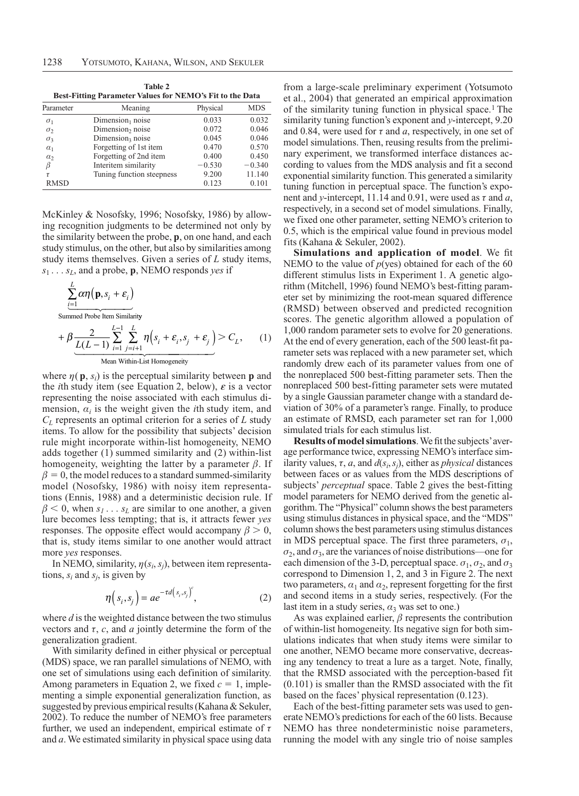| Table 2                                                  |  |
|----------------------------------------------------------|--|
| Best-Fitting Parameter Values for NEMO's Fit to the Data |  |

| Best-Fitting Parameter Values for NEMO's Fit to the Data |                              |          |            |  |
|----------------------------------------------------------|------------------------------|----------|------------|--|
| Parameter                                                | Meaning                      | Physical | <b>MDS</b> |  |
| $\sigma_1$                                               | Dimension <sub>1</sub> noise | 0.033    | 0.032      |  |
| $\sigma$                                                 | Dimension, noise             | 0.072    | 0.046      |  |
| $\sigma_3$                                               | Dimension, noise             | 0.045    | 0.046      |  |
| $\alpha_1$                                               | Forgetting of 1st item       | 0.470    | 0.570      |  |
| $\alpha$                                                 | Forgetting of 2nd item       | 0.400    | 0.450      |  |
| β                                                        | Interitem similarity         | $-0.530$ | $-0.340$   |  |
| $\tau$                                                   | Tuning function steepness    | 9.200    | 11.140     |  |
| <b>RMSD</b>                                              |                              | 0.123    | 0.101      |  |

McKinley & Nosofsky, 1996; Nosofsky, 1986) by allowing recognition judgments to be determined not only by the similarity between the probe, **p**, on one hand, and each study stimulus, on the other, but also by similarities among study items themselves. Given a series of  $L$  study items,  $s_1 \tldots s_L$ , and a probe, **p**, NEMO responds yes if

$$
\sum_{i=1}^{L} \alpha \eta \big( \mathbf{p}, s_i + \varepsilon_i \big)
$$

Summed Probe Item Similarity

+ 
$$
\beta \underbrace{\frac{2}{L(L-1)} \sum_{i=1}^{L-1} \sum_{j=i+1}^{L} \eta(s_i + \varepsilon_i, s_j + \varepsilon_j)}_{\text{Mean Within-List Homogeneity}}
$$
 (1)

 $\mathcal{E}$ 

where  $\eta(\mathbf{p}, s_i)$  is the perceptual similarity between **p** and the *i*th study item (see Equation 2, below),  $\varepsilon$  is a vector representing the noise associated with each stimulus dimension,  $\alpha_i$  is the weight given the *i*th study item, and  $C_L$  represents an optimal criterion for a series of L study items. To allow for the possibility that subjects' decision rule might incorporate within-list homogeneity, NEMO adds together  $(1)$  summed similarity and  $(2)$  within-list homogeneity, weighting the latter by a parameter  $\beta$ . If  $\beta = 0$ , the model reduces to a standard summed-similarity model (Nosofsky, 1986) with noisy item representations (Ennis, 1988) and a deterministic decision rule. If  $\beta$  < 0, when  $s_1 \dots s_l$  are similar to one another, a given lure becomes less tempting; that is, it attracts fewer yes responses. The opposite effect would accompany  $\beta > 0$ , that is, study items similar to one another would attract more *yes* responses.

In NEMO, similarity,  $\eta(s_i, s_j)$ , between item representations,  $s_i$  and  $s_j$ , is given by

$$
\eta(s_i, s_j) = a e^{-\tau d(s_i, s_j)^c},\tag{2}
$$

where  $d$  is the weighted distance between the two stimulus vectors and  $\tau$ , c, and a jointly determine the form of the generalization gradient.

With similarity defined in either physical or perceptual (MDS) space, we ran parallel simulations of NEMO, with one set of simulations using each definition of similarity. Among parameters in Equation 2, we fixed  $c = 1$ , implementing a simple exponential generalization function, as suggested by previous empirical results (Kahana & Sekuler, 2002). To reduce the number of NEMO's free parameters further, we used an independent, empirical estimate of  $\tau$ and a. We estimated similarity in physical space using data

from a large-scale preliminary experiment (Yotsumoto et al., 2004) that generated an empirical approximation of the similarity tuning function in physical space.<sup>1</sup> The similarity tuning function's exponent and  $y$ -intercept, 9.20 and 0.84, were used for  $\tau$  and  $a$ , respectively, in one set of model simulations. Then, reusing results from the preliminary experiment, we transformed interface distances according to values from the MDS analysis and fit a second exponential similarity function. This generated a similarity tuning function in perceptual space. The function's exponent and y-intercept, 11.14 and 0.91, were used as  $\tau$  and a, respectively, in a second set of model simulations. Finally, we fixed one other parameter, setting NEMO's criterion to 0.5, which is the empirical value found in previous model fits (Kahana & Sekuler, 2002).

Simulations and application of model. We fit NEMO to the value of  $p(yes)$  obtained for each of the 60 different stimulus lists in Experiment 1. A genetic algorithm (Mitchell, 1996) found NEMO's best-fitting parameter set by minimizing the root-mean squared difference (RMSD) between observed and predicted recognition scores. The genetic algorithm allowed a population of 1,000 random parameter sets to evolve for 20 generations. At the end of every generation, each of the 500 least-fit parameter sets was replaced with a new parameter set, which randomly drew each of its parameter values from one of the nonreplaced 500 best-fitting parameter sets. Then the nonreplaced 500 best-fitting parameter sets were mutated by a single Gaussian parameter change with a standard deviation of 30% of a parameter's range. Finally, to produce an estimate of RMSD, each parameter set ran for 1,000 simulated trials for each stimulus list.

**Results of model simulations.** We fit the subjects' average performance twice, expressing NEMO's interface similarity values,  $\tau$ , a, and  $d(s_i, s_j)$ , either as *physical* distances between faces or as values from the MDS descriptions of subjects' *perceptual* space. Table 2 gives the best-fitting model parameters for NEMO derived from the genetic algorithm. The "Physical" column shows the best parameters using stimulus distances in physical space, and the "MDS" column shows the best parameters using stimulus distances in MDS perceptual space. The first three parameters,  $\sigma_1$ ,  $\sigma_2$ , and  $\sigma_3$ , are the variances of noise distributions—one for each dimension of the 3-D, perceptual space.  $\sigma_1$ ,  $\sigma_2$ , and  $\sigma_3$ correspond to Dimension 1, 2, and 3 in Figure 2. The next two parameters,  $\alpha_1$  and  $\alpha_2$ , represent forgetting for the first and second items in a study series, respectively. (For the last item in a study series,  $\alpha_3$  was set to one.)

As was explained earlier,  $\beta$  represents the contribution of within-list homogeneity. Its negative sign for both simulations indicates that when study items were similar to one another, NEMO became more conservative, decreasing any tendency to treat a lure as a target. Note, finally, that the RMSD associated with the perception-based fit  $(0.101)$  is smaller than the RMSD associated with the fit based on the faces' physical representation  $(0.123)$ .

Each of the best-fitting parameter sets was used to generate NEMO's predictions for each of the 60 lists. Because NEMO has three nondeterministic noise parameters, running the model with any single trio of noise samples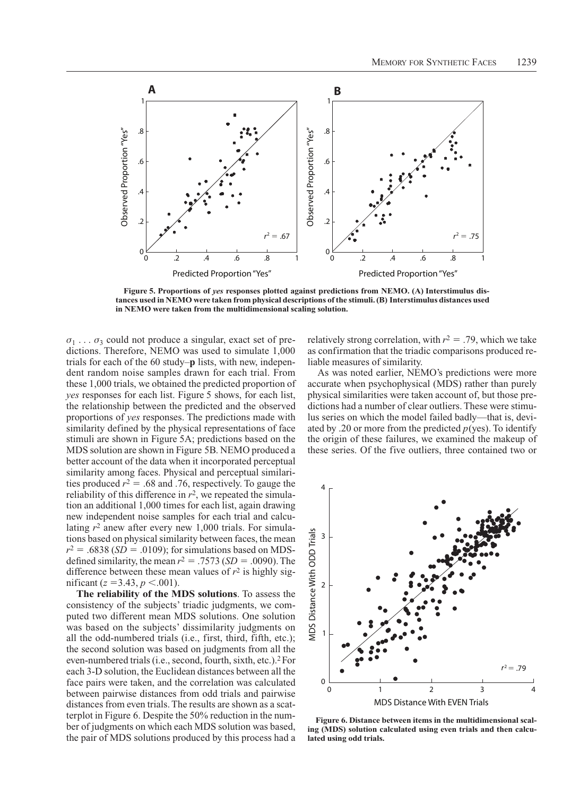

Figure 5. Proportions of yes responses plotted against predictions from NEMO. (A) Interstimulus distances used in NEMO were taken from physical descriptions of the stimuli. (B) Interstimulus distances used in NEMO were taken from the multidimensional scaling solution.

 $\sigma_1$ ...  $\sigma_3$  could not produce a singular, exact set of predictions. Therefore, NEMO was used to simulate 1,000 trials for each of the 60 study-**p** lists, with new, independent random noise samples drawn for each trial. From these 1,000 trials, we obtained the predicted proportion of *ves* responses for each list. Figure 5 shows, for each list, the relationship between the predicted and the observed proportions of yes responses. The predictions made with similarity defined by the physical representations of face stimuli are shown in Figure 5A; predictions based on the MDS solution are shown in Figure 5B. NEMO produced a better account of the data when it incorporated perceptual similarity among faces. Physical and perceptual similarities produced  $r^2 = .68$  and .76, respectively. To gauge the reliability of this difference in  $r^2$ , we repeated the simulation an additional 1,000 times for each list, again drawing new independent noise samples for each trial and calculating  $r^2$  anew after every new 1,000 trials. For simulations based on physical similarity between faces, the mean  $r^2$  = .6838 (SD = .0109); for simulations based on MDSdefined similarity, the mean  $r^2 = .7573$  (SD = .0090). The difference between these mean values of  $r^2$  is highly significant ( $z = 3.43$ ,  $p < .001$ ).

The reliability of the MDS solutions. To assess the consistency of the subjects' triadic judgments, we computed two different mean MDS solutions. One solution was based on the subjects' dissimilarity judgments on all the odd-numbered trials (i.e., first, third, fifth, etc.); the second solution was based on judgments from all the even-numbered trials (i.e., second, fourth, sixth, etc.).<sup>2</sup> For each 3-D solution, the Euclidean distances between all the face pairs were taken, and the correlation was calculated between pairwise distances from odd trials and pairwise distances from even trials. The results are shown as a scatterplot in Figure 6. Despite the 50% reduction in the number of judgments on which each MDS solution was based, the pair of MDS solutions produced by this process had a relatively strong correlation, with  $r^2 = .79$ , which we take as confirmation that the triadic comparisons produced reliable measures of similarity.

As was noted earlier, NEMO's predictions were more accurate when psychophysical (MDS) rather than purely physical similarities were taken account of, but those predictions had a number of clear outliers. These were stimulus series on which the model failed badly—that is, deviated by .20 or more from the predicted  $p(yes)$ . To identify the origin of these failures, we examined the makeup of these series. Of the five outliers, three contained two or



Figure 6. Distance between items in the multidimensional scaling (MDS) solution calculated using even trials and then calculated using odd trials.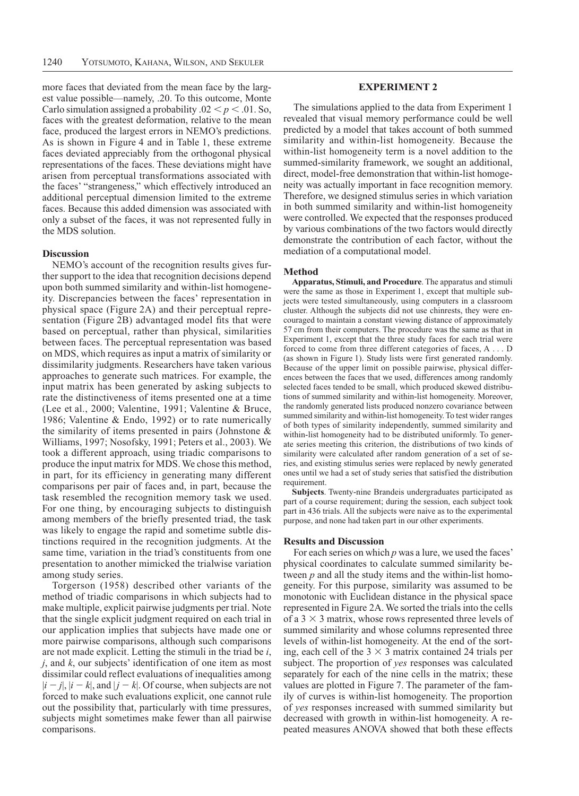more faces that deviated from the mean face by the largest value possible—namely, .20. To this outcome, Monte Carlo simulation assigned a probability  $.02 < p < .01$ . So, faces with the greatest deformation, relative to the mean face, produced the largest errors in NEMO's predictions. As is shown in Figure 4 and in Table 1, these extreme faces deviated appreciably from the orthogonal physical representations of the faces. These deviations might have arisen from perceptual transformations associated with the faces' "strangeness," which effectively introduced an additional perceptual dimension limited to the extreme faces. Because this added dimension was associated with only a subset of the faces, it was not represented fully in the MDS solution.

# **Discussion**

NEMO's account of the recognition results gives further support to the idea that recognition decisions depend upon both summed similarity and within-list homogeneity. Discrepancies between the faces' representation in physical space (Figure 2A) and their perceptual representation (Figure 2B) advantaged model fits that were based on perceptual, rather than physical, similarities between faces. The perceptual representation was based on MDS, which requires as input a matrix of similarity or dissimilarity judgments. Researchers have taken various approaches to generate such matrices. For example, the input matrix has been generated by asking subjects to rate the distinctiveness of items presented one at a time (Lee et al., 2000; Valentine, 1991; Valentine & Bruce, 1986; Valentine & Endo, 1992) or to rate numerically the similarity of items presented in pairs (Johnstone  $\&$ Williams, 1997; Nosofsky, 1991; Peters et al., 2003). We took a different approach, using triadic comparisons to produce the input matrix for MDS. We chose this method, in part, for its efficiency in generating many different comparisons per pair of faces and, in part, because the task resembled the recognition memory task we used. For one thing, by encouraging subjects to distinguish among members of the briefly presented triad, the task was likely to engage the rapid and sometime subtle distinctions required in the recognition judgments. At the same time, variation in the triad's constituents from one presentation to another mimicked the trialwise variation among study series.

Torgerson (1958) described other variants of the method of triadic comparisons in which subjects had to make multiple, explicit pairwise judgments per trial. Note that the single explicit judgment required on each trial in our application implies that subjects have made one or more pairwise comparisons, although such comparisons are not made explicit. Letting the stimuli in the triad be  $i$ ,  $j$ , and  $k$ , our subjects' identification of one item as most dissimilar could reflect evaluations of inequalities among  $|i - j|$ ,  $|i - k|$ , and  $|j - k|$ . Of course, when subjects are not forced to make such evaluations explicit, one cannot rule out the possibility that, particularly with time pressures, subjects might sometimes make fewer than all pairwise comparisons.

# **EXPERIMENT 2**

The simulations applied to the data from Experiment 1 revealed that visual memory performance could be well predicted by a model that takes account of both summed similarity and within-list homogeneity. Because the within-list homogeneity term is a novel addition to the summed-similarity framework, we sought an additional, direct, model-free demonstration that within-list homogeneity was actually important in face recognition memory. Therefore, we designed stimulus series in which variation in both summed similarity and within-list homogeneity were controlled. We expected that the responses produced by various combinations of the two factors would directly demonstrate the contribution of each factor, without the mediation of a computational model.

## **Method**

Apparatus, Stimuli, and Procedure. The apparatus and stimuli were the same as those in Experiment 1, except that multiple subjects were tested simultaneously, using computers in a classroom cluster. Although the subjects did not use chinrests, they were encouraged to maintain a constant viewing distance of approximately 57 cm from their computers. The procedure was the same as that in Experiment 1, except that the three study faces for each trial were forced to come from three different categories of faces, A . . . D (as shown in Figure 1). Study lists were first generated randomly. Because of the upper limit on possible pairwise, physical differences between the faces that we used, differences among randomly selected faces tended to be small, which produced skewed distributions of summed similarity and within-list homogeneity. Moreover, the randomly generated lists produced nonzero covariance between summed similarity and within-list homogeneity. To test wider ranges of both types of similarity independently, summed similarity and within-list homogeneity had to be distributed uniformly. To generate series meeting this criterion, the distributions of two kinds of similarity were calculated after random generation of a set of series, and existing stimulus series were replaced by newly generated ones until we had a set of study series that satisfied the distribution requirement.

Subjects. Twenty-nine Brandeis undergraduates participated as part of a course requirement; during the session, each subject took part in 436 trials. All the subjects were naive as to the experimental purpose, and none had taken part in our other experiments.

## **Results and Discussion**

For each series on which p was a lure, we used the faces' physical coordinates to calculate summed similarity between  $p$  and all the study items and the within-list homogeneity. For this purpose, similarity was assumed to be monotonic with Euclidean distance in the physical space represented in Figure 2A. We sorted the trials into the cells of a 3  $\times$  3 matrix, whose rows represented three levels of summed similarity and whose columns represented three levels of within-list homogeneity. At the end of the sorting, each cell of the  $3 \times 3$  matrix contained 24 trials per subject. The proportion of yes responses was calculated separately for each of the nine cells in the matrix; these values are plotted in Figure 7. The parameter of the family of curves is within-list homogeneity. The proportion of ves responses increased with summed similarity but decreased with growth in within-list homogeneity. A repeated measures ANOVA showed that both these effects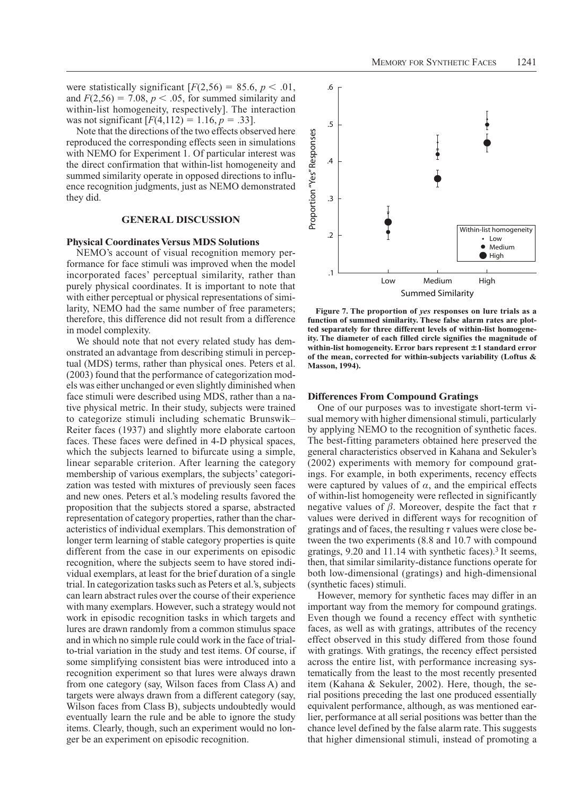were statistically significant  $[F(2,56) = 85.6, p < .01,$ and  $F(2,56) = 7.08$ ,  $p < .05$ , for summed similarity and within-list homogeneity, respectively]. The interaction was not significant  $[F(4,112) = 1.16, p = .33]$ .

Note that the directions of the two effects observed here reproduced the corresponding effects seen in simulations with NEMO for Experiment 1. Of particular interest was the direct confirmation that within-list homogeneity and summed similarity operate in opposed directions to influence recognition judgments, just as NEMO demonstrated they did.

## **GENERAL DISCUSSION**

#### **Physical Coordinates Versus MDS Solutions**

NEMO's account of visual recognition memory performance for face stimuli was improved when the model incorporated faces' perceptual similarity, rather than purely physical coordinates. It is important to note that with either perceptual or physical representations of similarity, NEMO had the same number of free parameters; therefore, this difference did not result from a difference in model complexity.

We should note that not every related study has demonstrated an advantage from describing stimuli in perceptual (MDS) terms, rather than physical ones. Peters et al. (2003) found that the performance of categorization models was either unchanged or even slightly diminished when face stimuli were described using MDS, rather than a native physical metric. In their study, subjects were trained to categorize stimuli including schematic Brunswik-Reiter faces (1937) and slightly more elaborate cartoon faces. These faces were defined in 4-D physical spaces, which the subjects learned to bifurcate using a simple, linear separable criterion. After learning the category membership of various exemplars, the subjects' categorization was tested with mixtures of previously seen faces and new ones. Peters et al.'s modeling results favored the proposition that the subjects stored a sparse, abstracted representation of category properties, rather than the characteristics of individual exemplars. This demonstration of longer term learning of stable category properties is quite different from the case in our experiments on episodic recognition, where the subjects seem to have stored individual exemplars, at least for the brief duration of a single trial. In categorization tasks such as Peters et al.'s, subjects can learn abstract rules over the course of their experience with many exemplars. However, such a strategy would not work in episodic recognition tasks in which targets and lures are drawn randomly from a common stimulus space and in which no simple rule could work in the face of trialto-trial variation in the study and test items. Of course, if some simplifying consistent bias were introduced into a recognition experiment so that lures were always drawn from one category (say, Wilson faces from Class A) and targets were always drawn from a different category (say, Wilson faces from Class B), subjects undoubtedly would eventually learn the rule and be able to ignore the study items. Clearly, though, such an experiment would no longer be an experiment on episodic recognition.



Figure 7. The proportion of ves responses on lure trials as a function of summed similarity. These false alarm rates are plotted separately for three different levels of within-list homogeneity. The diameter of each filled circle signifies the magnitude of within-list homogeneity. Error bars represent  $\pm 1$  standard error of the mean, corrected for within-subjects variability (Loftus & Masson, 1994).

#### **Differences From Compound Gratings**

One of our purposes was to investigate short-term visual memory with higher dimensional stimuli, particularly by applying NEMO to the recognition of synthetic faces. The best-fitting parameters obtained here preserved the general characteristics observed in Kahana and Sekuler's (2002) experiments with memory for compound gratings. For example, in both experiments, recency effects were captured by values of  $\alpha$ , and the empirical effects of within-list homogeneity were reflected in significantly negative values of  $\beta$ . Moreover, despite the fact that  $\tau$ values were derived in different ways for recognition of gratings and of faces, the resulting  $\tau$  values were close between the two experiments (8.8 and 10.7 with compound gratings, 9.20 and 11.14 with synthetic faces).<sup>3</sup> It seems, then, that similar similarity-distance functions operate for both low-dimensional (gratings) and high-dimensional (synthetic faces) stimuli.

However, memory for synthetic faces may differ in an important way from the memory for compound gratings. Even though we found a recency effect with synthetic faces, as well as with gratings, attributes of the recency effect observed in this study differed from those found with gratings. With gratings, the recency effect persisted across the entire list, with performance increasing systematically from the least to the most recently presented item (Kahana & Sekuler, 2002). Here, though, the serial positions preceding the last one produced essentially equivalent performance, although, as was mentioned earlier, performance at all serial positions was better than the chance level defined by the false alarm rate. This suggests that higher dimensional stimuli, instead of promoting a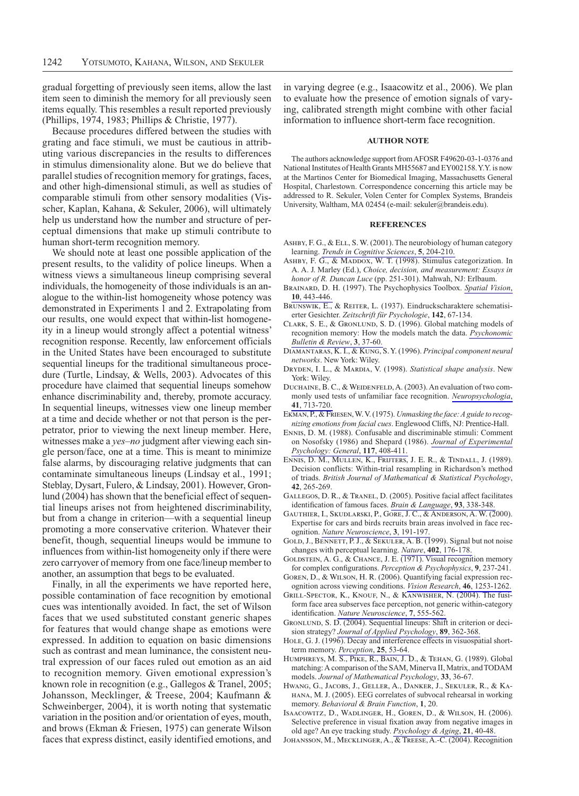gradual forgetting of previously seen items, allow the last item seen to diminish the memory for all previously seen items equally. This resembles a result reported previously (Phillips, 1974, 1983; Phillips & Christie, 1977).

Because procedures differed between the studies with grating and face stimuli, we must be cautious in attributing various discrepancies in the results to differences in stimulus dimensionality alone. But we do believe that parallel studies of recognition memory for gratings, faces, and other high-dimensional stimuli, as well as studies of comparable stimuli from other sensory modalities (Visscher, Kaplan, Kahana, & Sekuler, 2006), will ultimately help us understand how the number and structure of perceptual dimensions that make up stimuli contribute to human short-term recognition memory.

We should note at least one possible application of the present results, to the validity of police lineups. When a witness views a simultaneous lineup comprising several individuals, the homogeneity of those individuals is an analogue to the within-list homogeneity whose potency was demonstrated in Experiments 1 and 2. Extrapolating from our results, one would expect that within-list homogeneity in a lineup would strongly affect a potential witness' recognition response. Recently, law enforcement officials in the United States have been encouraged to substitute sequential lineups for the traditional simultaneous procedure (Turtle, Lindsay, & Wells, 2003). Advocates of this procedure have claimed that sequential lineups somehow enhance discriminability and, thereby, promote accuracy. In sequential lineups, witnesses view one lineup member at a time and decide whether or not that person is the perpetrator, prior to viewing the next lineup member. Here, witnesses make a *yes-no* judgment after viewing each single person/face, one at a time. This is meant to minimize false alarms, by discouraging relative judgments that can contaminate simultaneous lineups (Lindsay et al., 1991; Steblay, Dysart, Fulero, & Lindsay, 2001). However, Gronlund (2004) has shown that the beneficial effect of sequential lineups arises not from heightened discriminability, but from a change in criterion—with a sequential lineup promoting a more conservative criterion. Whatever their benefit, though, sequential lineups would be immune to influences from within-list homogeneity only if there were zero carryover of memory from one face/lineup member to another, an assumption that begs to be evaluated.

Finally, in all the experiments we have reported here, possible contamination of face recognition by emotional cues was intentionally avoided. In fact, the set of Wilson faces that we used substituted constant generic shapes for features that would change shape as emotions were expressed. In addition to equation on basic dimensions such as contrast and mean luminance, the consistent neutral expression of our faces ruled out emotion as an aid to recognition memory. Given emotional expression's known role in recognition (e.g., Gallegos  $&$  Tranel, 2005; Johansson, Mecklinger, & Treese, 2004; Kaufmann & Schweinberger, 2004), it is worth noting that systematic variation in the position and/or orientation of eyes, mouth, and brows (Ekman & Friesen, 1975) can generate Wilson faces that express distinct, easily identified emotions, and in varying degree (e.g., Isaacowitz et al., 2006). We plan to evaluate how the presence of emotion signals of varying, calibrated strength might combine with other facial information to influence short-term face recognition.

#### **AUTHOR NOTE**

The authors acknowledge support from AFOSR F49620-03-1-0376 and National Institutes of Health Grants MH55687 and EY002158. Y.Y. is now at the Martinos Center for Biomedical Imaging, Massachusetts General Hospital, Charlestown. Correspondence concerning this article may be addressed to R. Sekuler, Volen Center for Complex Systems, Brandeis University, Waltham, MA 02454 (e-mail: sekuler@brandeis.edu).

#### **REFERENCES**

- ASHBY, F. G., & ELL, S. W. (2001). The neurobiology of human category learning. Trends in Cognitive Sciences, 5, 204-210.
- ASHBY, F. G., & MADDOX, W. T. (1998). Stimulus categorization. In A. A. J. Marley (Ed.), Choice, decision, and measurement: Essays in honor of R. Duncan Luce (pp. 251-301). Mahwah, NJ: Erlbaum.
- BRAINARD, D. H. (1997). The Psychophysics Toolbox. Spatial Vision, 10, 443-446.
- BRUNSWIK, E., & REITER, L. (1937). Eindruckscharaktere schematisierter Gesichter. Zeitschrift für Psychologie, 142, 67-134.
- CLARK, S. E., & GRONLUND, S. D. (1996). Global matching models of recognition memory: How the models match the data. Psychonomic Bulletin & Review, 3, 37-60.
- DIAMANTARAS, K. I., & KUNG, S. Y. (1996). Principal component neural networks. New York: Wilev.
- DRYDEN, I. L., & MARDIA, V. (1998). Statistical shape analysis. New York: Wiley.
- DUCHAINE, B. C., & WEIDENFELD, A. (2003). An evaluation of two commonly used tests of unfamiliar face recognition. Neuropsychologia, 41, 713-720.
- EKMAN, P., & FRIESEN, W. V. (1975). Unmasking the face: A guide to recognizing emotions from facial cues. Englewood Cliffs, NJ: Prentice-Hall.
- ENNIS, D. M. (1988). Confusable and discriminable stimuli: Comment on Nosofsky (1986) and Shepard (1986). Journal of Experimental Psychology: General, 117, 408-411.
- ENNIS, D. M., MULLEN, K., FRIJTERS, J. E. R., & TINDALL, J. (1989). Decision conflicts: Within-trial resampling in Richardson's method of triads. British Journal of Mathematical & Statistical Psychology, 42, 265-269.
- GALLEGOS, D. R., & TRANEL, D. (2005). Positive facial affect facilitates identification of famous faces. Brain & Language, 93, 338-348.
- GAUTHIER, I., SKUDLARSKI, P., GORE, J. C., & ANDERSON, A. W. (2000). Expertise for cars and birds recruits brain areas involved in face recognition. Nature Neuroscience, 3, 191-197.
- GOLD, J., BENNETT, P.J., & SEKULER, A. B. (1999). Signal but not noise changes with perceptual learning. Nature, 402, 176-178.
- GOLDSTEIN, A. G., & CHANCE, J. E. (1971). Visual recognition memory for complex configurations. Perception & Psychophysics, 9, 237-241.
- GOREN, D., & WILSON, H. R. (2006). Quantifying facial expression recognition across viewing conditions. Vision Research, 46, 1253-1262.
- GRILL-SPECTOR, K., KNOUF, N., & KANWISHER, N. (2004). The fusiform face area subserves face perception, not generic within-category identification. Nature Neuroscience, 7, 555-562.
- GRONLUND, S. D. (2004). Sequential lineups: Shift in criterion or decision strategy? Journal of Applied Psychology, 89, 362-368.
- HOLE, G. J.  $(1996)$ . Decay and interference effects in visuospatial shortterm memory. Perception, 25, 53-64.
- HUMPHREYS, M. S., PIKE, R., BAIN, J. D., & TEHAN, G. (1989). Global matching: A comparison of the SAM, Minerva II, Matrix, and TODAM models. Journal of Mathematical Psychology, 33, 36-67.
- HWANG, G., JACOBS, J., GELLER, A., DANKER, J., SEKULER, R., & KA-HANA, M. J. (2005). EEG correlates of subvocal rehearsal in working memory. Behavioral & Brain Function, 1, 20.
- ISAACOWITZ, D., WADLINGER, H., GOREN, D., & WILSON, H. (2006). Selective preference in visual fixation away from negative images in old age? An eye tracking study. Psychology & Aging, 21, 40-48.
- JOHANSSON, M., MECKLINGER, A., & TREESE, A.-C. (2004). Recognition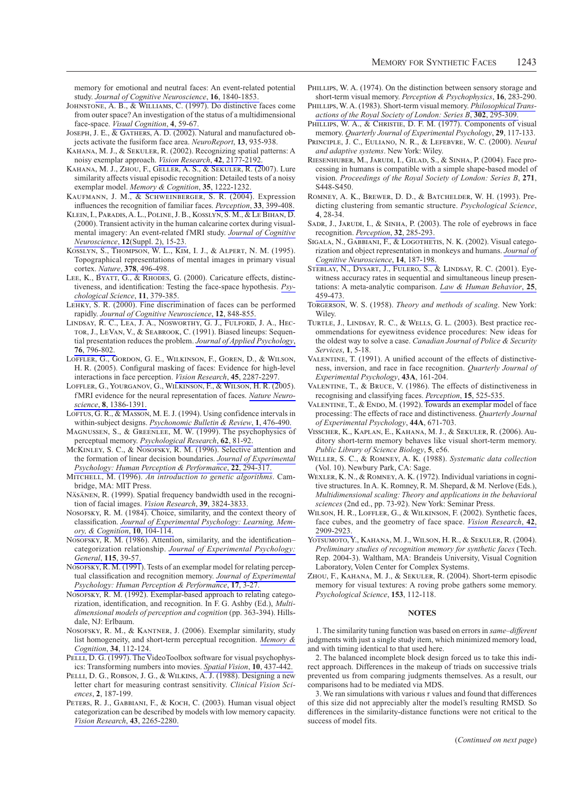memory for emotional and neutral faces: An event-related potential study. Journal of Cognitive Neuroscience, 16, 1840-1853.

- JOHNSTONE, A. B., & WILLIAMS, C. (1997). Do distinctive faces come from outer space? An investigation of the status of a multidimensional face-space. Visual Cognition, 4, 59-67.
- JOSEPH, J. E., & GATHERS, A. D. (2002). Natural and manufactured objects activate the fusiform face area. NeuroReport, 13, 935-938.
- KAHANA, M. J., & SEKULER, R. (2002). Recognizing spatial patterns: A noisy exemplar approach. Vision Research, 42, 2177-2192.
- KAHANA, M. J., ZHOU, F., GELLER, A. S., & SEKULER, R. (2007). Lure similarity affects visual episodic recognition: Detailed tests of a noisy exemplar model. Memory & Cognition, 35, 1222-1232.
- KAUFMANN, J. M., & SCHWEINBERGER, S. R. (2004). Expression influences the recognition of familiar faces. Perception, 33, 399-408.
- KLEIN, I., PARADIS, A. L., POLINE, J. B., KOSSLYN, S. M., & LE BIHAN, D. (2000). Transient activity in the human calcarine cortex during visualmental imagery: An event-related fMRI study. Journal of Cognitive Neuroscience, 12(Suppl. 2), 15-23.
- KOSSLYN, S., THOMPSON, W. L., KIM, I. J., & ALPERT, N. M. (1995). Topographical representations of mental images in primary visual cortex. Nature, 378, 496-498.
- LEE, K., BYATT, G., & RHODES, G. (2000). Caricature effects, distinctiveness, and identification: Testing the face-space hypothesis. Psychological Science, 11, 379-385.
- LEHKY, S. R. (2000). Fine discrimination of faces can be performed rapidly. Journal of Cognitive Neuroscience, 12, 848-855.
- LINDSAY, R. C., LEA, J. A., NOSWORTHY, G. J., FULFORD, J. A., HEC-TOR, J., LEVAN, V., & SEABROOK, C. (1991). Biased lineups: Sequential presentation reduces the problem. Journal of Applied Psychology, 76, 796-802.
- LOFFLER, G., GORDON, G. E., WILKINSON, F., GOREN, D., & WILSON, H. R. (2005). Configural masking of faces: Evidence for high-level interactions in face perception. Vision Research, 45, 2287-2297.
- LOFFLER, G., YOURGANOV, G., WILKINSON, F., & WILSON, H. R. (2005). fMRI evidence for the neural representation of faces. Nature Neuroscience, 8, 1386-1391.
- LOFTUS, G. R., & MASSON, M. E. J. (1994). Using confidence intervals in within-subject designs. Psychonomic Bulletin & Review, 1, 476-490.
- MAGNUSSEN, S., & GREENLEE, M. W. (1999). The psychophysics of perceptual memory. Psychological Research, 62, 81-92.
- McKINLEY, S. C., & NOSOFSKY, R. M. (1996). Selective attention and the formation of linear decision boundaries. Journal of Experimental Psychology: Human Perception & Performance, 22, 294-317.
- MITCHELL, M. (1996). An introduction to genetic algorithms. Cambridge, MA: MIT Press.
- NÄSÄNEN, R. (1999). Spatial frequency bandwidth used in the recognition of facial images. Vision Research, 39, 3824-3833.
- NOSOFSKY, R. M. (1984). Choice, similarity, and the context theory of classification. Journal of Experimental Psychology: Learning, Memory, & Cognition, 10, 104-114.
- NOSOFSKY, R. M. (1986). Attention, similarity, and the identificationcategorization relationship. Journal of Experimental Psychology: General, 115, 39-57.
- NOSOFSKY, R. M. (1991). Tests of an exemplar model for relating perceptual classification and recognition memory. Journal of Experimental Psychology: Human Perception & Performance, 17, 3-27.
- NOSOFSKY, R. M. (1992). Exemplar-based approach to relating categorization, identification, and recognition. In F. G. Ashby (Ed.), Multidimensional models of perception and cognition (pp. 363-394). Hillsdale, NJ: Erlbaum
- NOSOFSKY, R. M., & KANTNER, J. (2006). Exemplar similarity, study list homogeneity, and short-term perceptual recognition. Memory & Cognition, 34, 112-124.
- PELLI, D. G. (1997). The VideoToolbox software for visual psychophysics: Transforming numbers into movies. Spatial Vision, 10, 437-442.
- PELLI, D. G., ROBSON, J. G., & WILKINS, A. J. (1988). Designing a new letter chart for measuring contrast sensitivity. Clinical Vision Sciences, 2, 187-199.
- PETERS, R. J., GABBIANI, F., & KOCH, C. (2003). Human visual object categorization can be described by models with low memory capacity. Vision Research, 43, 2265-2280.
- PHILLIPS, W. A. (1974). On the distinction between sensory storage and short-term visual memory. Perception & Psychophysics, 16, 283-290.
- PHILLIPS, W. A. (1983). Short-term visual memory. Philosophical Transactions of the Royal Society of London: Series B, 302, 295-309.
- PHILLIPS, W. A., & CHRISTIE, D. F. M. (1977). Components of visual memory. Quarterly Journal of Experimental Psychology, 29, 117-133.
- PRINCIPLE, J. C., EULIANO, N. R., & LEFEBVRE, W. C. (2000). Neural and adaptive systems. New York: Wiley.
- RIESENHUBER, M., JARUDI, I., GILAD, S., & SINHA, P. (2004). Face processing in humans is compatible with a simple shape-based model of vision. Proceedings of the Royal Society of London: Series B, 271, S448-S450
- ROMNEY, A. K., BREWER, D. D., & BATCHELDER, W. H. (1993). Predicting clustering from semantic structure. Psychological Science, 4.28-34.
- SADR, J., JARUDI, I., & SINHA, P. (2003). The role of eyebrows in face recognition. Perception, 32, 285-293.
- SIGALA, N., GABBIANI, F., & LOGOTHETIS, N. K. (2002). Visual categorization and object representation in monkeys and humans. Journal of Cognitive Neuroscience, 14, 187-198.
- STEBLAY, N., DYSART, J., FULERO, S., & LINDSAY, R. C. (2001). Eyewitness accuracy rates in sequential and simultaneous lineup presentations: A meta-analytic comparison. Law & Human Behavior, 25, 459-473.
- TORGERSON, W. S. (1958). Theory and methods of scaling. New York: Wiley.
- TURTLE, J., LINDSAY, R. C., & WELLS, G. L. (2003). Best practice recommendations for eyewitness evidence procedures: New ideas for the oldest way to solve a case. Canadian Journal of Police & Security Services, 1, 5-18.
- VALENTINE, T. (1991). A unified account of the effects of distinctiveness, inversion, and race in face recognition. Quarterly Journal of Experimental Psychology, 43A, 161-204.
- VALENTINE, T., & BRUCE, V. (1986). The effects of distinctiveness in recognising and classifying faces. Perception, 15, 525-535
- VALENTINE, T., & ENDO, M. (1992). Towards an exemplar model of face processing: The effects of race and distinctiveness. Quarterly Journal of Experimental Psychology, 44A, 671-703.
- VISSCHER, K., KAPLAN, E., KAHANA, M. J., & SEKULER, R. (2006). Auditory short-term memory behaves like visual short-term memory. Public Library of Science Biology, 5, e56.
- WELLER, S. C., & ROMNEY, A. K. (1988). Systematic data collection (Vol. 10). Newbury Park, CA: Sage.
- WEXLER, K. N., & ROMNEY, A. K. (1972). Individual variations in cognitive structures. In A. K. Romney, R. M. Shepard, & M. Nerlove (Eds.), Multidimensional scaling: Theory and applications in the behavioral sciences (2nd ed., pp. 73-92). New York: Seminar Press.
- WILSON, H. R., LOFFLER, G., & WILKINSON, F. (2002). Synthetic faces, face cubes, and the geometry of face space. Vision Research, 42, 2909-2923.
- YOTSUMOTO, Y., KAHANA, M. J., WILSON, H. R., & SEKULER, R. (2004). Preliminary studies of recognition memory for synthetic faces (Tech. Rep. 2004-3). Waltham, MA: Brandeis University, Visual Cognition Laboratory, Volen Center for Complex Systems.
- ZHOU, F., КАНАNA, M. J., & SEKULER, R. (2004). Short-term episodic memory for visual textures: A roving probe gathers some memory. Psychological Science, 153, 112-118.

#### **NOTES**

1. The similarity tuning function was based on errors in same-different judgments with just a single study item, which minimized memory load, and with timing identical to that used here.

2. The balanced incomplete block design forced us to take this indirect approach. Differences in the makeup of triads on successive trials prevented us from comparing judgments themselves. As a result, our comparisons had to be mediated via MDS.

3. We ran simulations with various  $\tau$  values and found that differences of this size did not appreciably alter the model's resulting RMSD. So differences in the similarity-distance functions were not critical to the success of model fits.